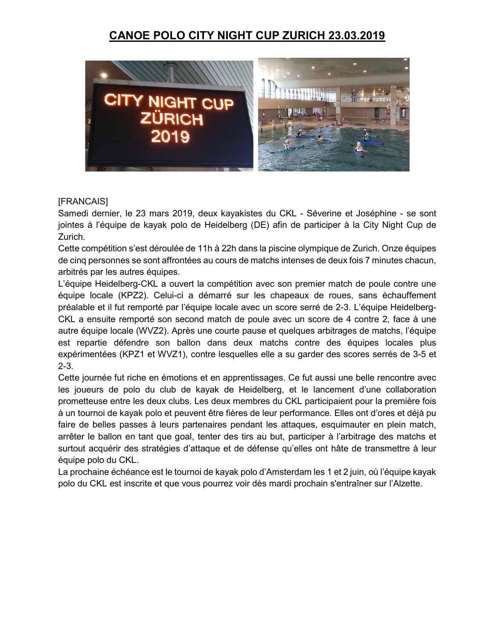## CANOE POLO CITY NIGHT CUP ZURICH 23.03.2019



## [FRANCAIS]

Samedi dernier, le 23 mars 2019, deux kayakistes du CKL - Séverine et Joséphine - se sont jointes à l'équipe de kayak polo de Heidelberg (DE) afin de participer à la City Night Cup de Zurich.

Cette compétition s'est déroulée de 11h à 22h dans la piscine olympique de Zurich. Onze équipes de cinq personnes se sont affrontées au cours de matchs intenses de deux fois 7 minutes chacun, arbitrés par les autres équipes.

L'équipe Heidelberg-CKL a ouvert la compétition avec son premier match de poule contre une équipe locale (KPZ2). Celui-ci a démarré sur les chapeaux de roues, sans échauffement préalable et il fut remporté par l'équipe locale avec un score serré de 2-3. L'équipe Heidelberg-CKL a ensuite remporté son second match de poule avec un score de 4 contre 2, face à une autre équipe locale (WVZ2). Après une courte pause et quelques arbitrages de matchs, l'équipe est repartie défendre son ballon dans deux matchs contre des équipes locales plus expérimentées (KPZ1 et WVZ1), contre lesquelles elle a su garder des scores serrés de 3-5 et 2-3.

Cette journée fut riche en émotions et en apprentissages. Ce fut aussi une belle rencontre avec les joueurs de polo du club de kayak de Heidelberg, et le lancement d'une collaboration prometteuse entre les deux clubs. Les deux membres du CKL participaient pour la première fois à un tournoi de kayak polo et peuvent être fières de leur performance. Elles ont d'ores et déjà pu faire de belles passes à leurs partenaires pendant les attaques, esquimauter en plein match, arrêter le ballon en tant que goal, tenter des tirs au but, participer à l'arbitrage des matchs et surtout acquérir des stratégies d'attaque et de défense qu'elles ont hâte de transmettre à leur équipe polo du CKL.

La prochaine échéance est le tournoi de kayak polo d'Amsterdam les 1 et 2 juin, où l'équipe kayak polo du CKL est inscrite et que vous pourrez voir dès mardi prochain s'entraîner sur l'Alzette.